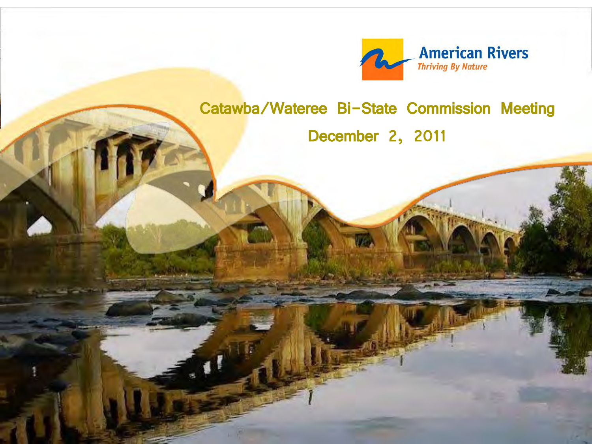

### Catawba/Wateree Bi-State Commission Meeting

December 2, 2011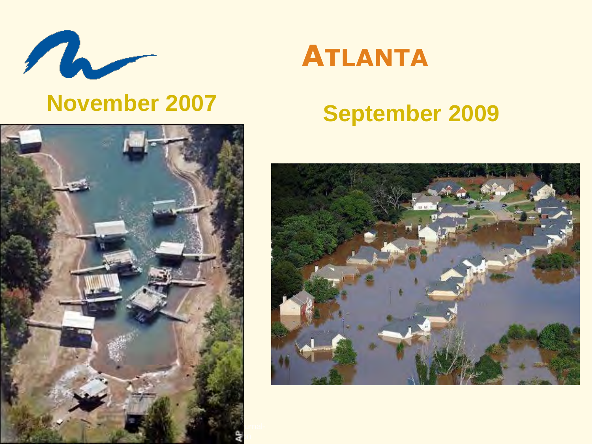

## **November 2007**



# **ATLANTA**

# **September 2009**

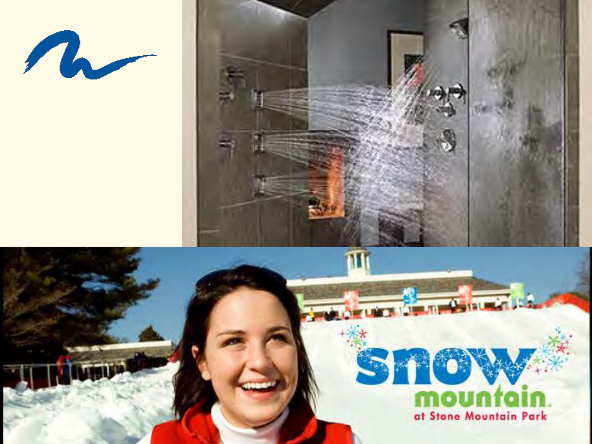



# 310 at Stone Mountain Park

**Strategy** Property in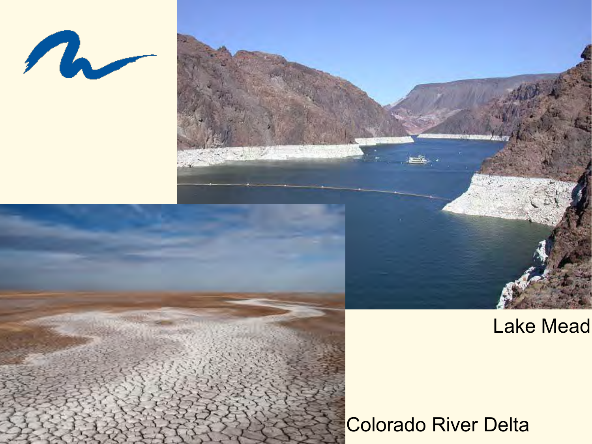



Colorado River Delta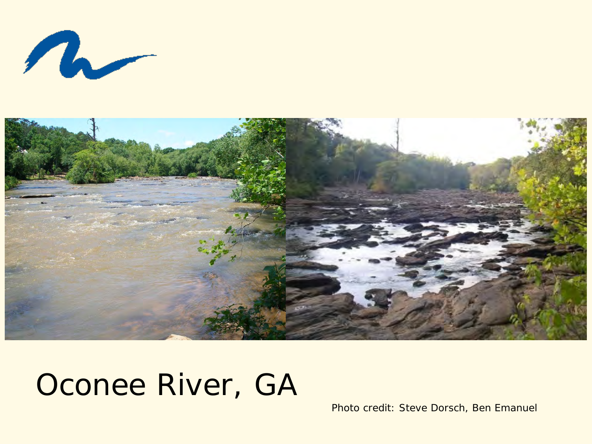$\boldsymbol{n}$ 



# Oconee River, GA

Photo credit: Steve Dorsch, Ben Emanuel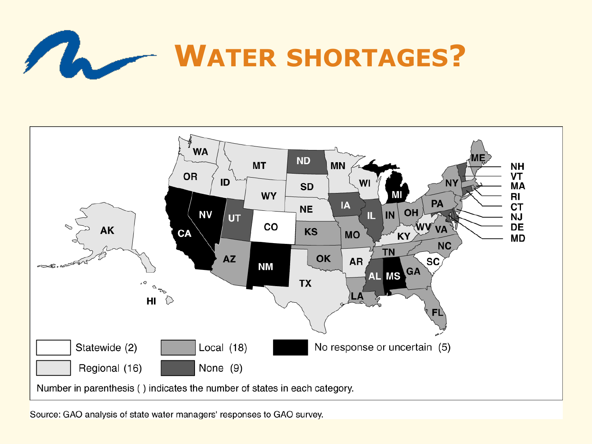



Source: GAO analysis of state water managers' responses to GAO survey.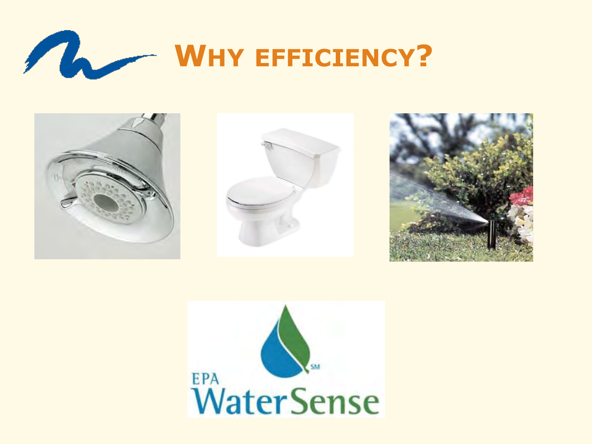



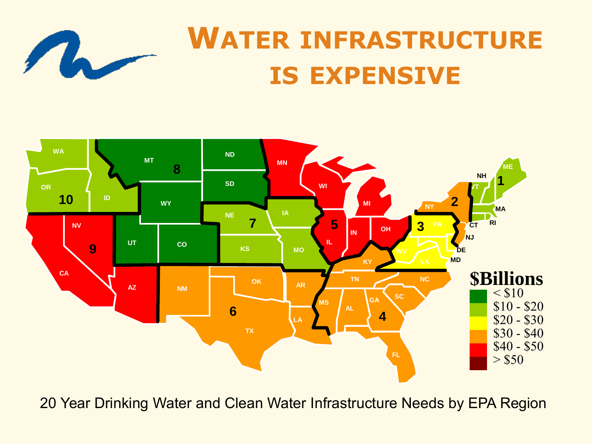

# **WATER INFRASTRUCTURE IS EXPENSIVE**



20 Year Drinking Water and Clean Water Infrastructure Needs by EPA Region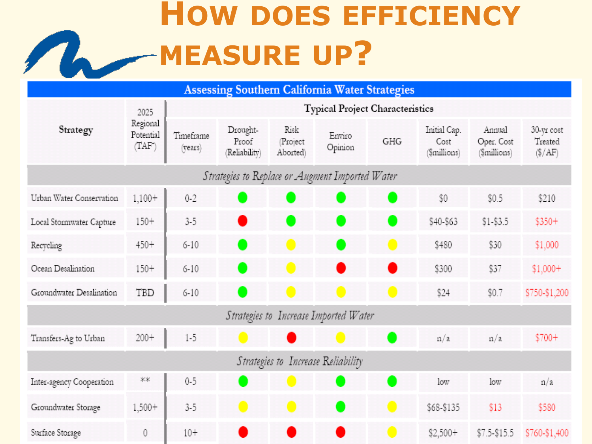# **HOW DOES EFFICIENCY** MEASURE UP?

| <b>Assessing Southern California Water Strategies</b> |                                        |                                 |                                    |                              |                              |                              |                                      |                                      |                                           |  |
|-------------------------------------------------------|----------------------------------------|---------------------------------|------------------------------------|------------------------------|------------------------------|------------------------------|--------------------------------------|--------------------------------------|-------------------------------------------|--|
| Strategy                                              | 2025<br>Regional<br>Potential<br>(TAF) | Typical Project Characteristics |                                    |                              |                              |                              |                                      |                                      |                                           |  |
|                                                       |                                        | Timeframe<br>(years)            | Drought-<br>Proof<br>(Reliability) | Risk<br>Project<br>Aborted)  | Enviro<br>Opinion            | GHG                          | Initial Cap.<br>Cost<br>(\$millions) | Annual<br>Oper. Cost<br>(\$millions) | 30-yr cost<br>Treated<br>$(\frac{5}{AF})$ |  |
| Strategies to Replace or Augment Imported Water       |                                        |                                 |                                    |                              |                              |                              |                                      |                                      |                                           |  |
| Urban Water Conservation                              | $1,100+$                               | $0 - 2$                         |                                    | $\qquad \qquad \blacksquare$ |                              | $\bullet$                    | \$0                                  | \$0.5                                | \$210                                     |  |
| Local Stormwater Capture                              | $150+$                                 | $3 - 5$                         | œ                                  |                              | $\qquad \qquad \blacksquare$ |                              | \$40-\$63                            | $$1 - $3.5$                          | $$350+$                                   |  |
| Recycling                                             | $450+$                                 | $6 - 10$                        |                                    | $\blacksquare$               |                              | $\blacksquare$               | \$480                                | \$30                                 | \$1,000                                   |  |
| Ocean Desalination                                    | $150 +$                                | $6 - 10$                        |                                    |                              |                              | o                            | \$300                                | \$37                                 | $$1,000+$                                 |  |
| Groundwater Desalination                              | TBD                                    | $6 - 10$                        |                                    |                              | $\qquad \qquad \blacksquare$ | $\qquad \qquad \blacksquare$ | \$24                                 | \$0.7                                | \$750-\$1,200                             |  |
| Strategies to Increase Imported Water                 |                                        |                                 |                                    |                              |                              |                              |                                      |                                      |                                           |  |
| Transfers-Ag to Urban                                 | $200 +$                                | $1 - 5$                         | $\bullet$                          |                              |                              | 0                            | n/a                                  | n/a                                  | $$700+$                                   |  |
| Strategies to Increase Reliability                    |                                        |                                 |                                    |                              |                              |                              |                                      |                                      |                                           |  |
| Inter-agency Cooperation                              | **                                     | $0 - 5$                         |                                    |                              |                              | 0                            | low                                  | low                                  | n/a                                       |  |
| Groundwater Storage                                   | $1,500+$                               | $3 - 5$                         | $\bullet$                          | $\bullet$                    |                              | $\bullet$                    | \$68-\$135                           | \$13                                 | \$580                                     |  |
| Surface Storage                                       | $\mathbf{0}$                           | $10+$                           |                                    |                              |                              |                              | $$2,500+$                            | \$7.5-\$15.5                         | \$760-\$1,400                             |  |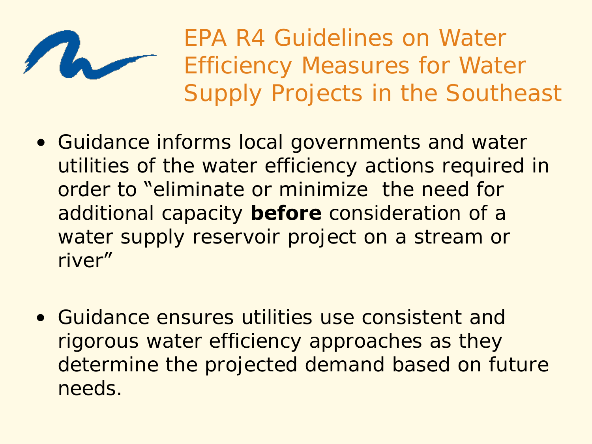

EPA R4 Guidelines on Water Efficiency Measures for Water Supply Projects in the Southeast

- Guidance informs local governments and water utilities of the water efficiency actions required in order to "eliminate or minimize the need for additional capacity **before** consideration of a water supply reservoir project on a stream or river"
- Guidance ensures utilities use consistent and rigorous water efficiency approaches as they determine the projected demand based on future needs.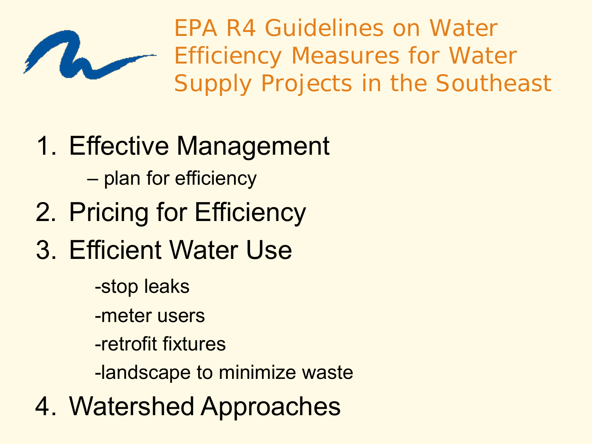

EPA R4 Guidelines on Water Efficiency Measures for Water Supply Projects in the Southeast

- 1. Effective Management
	- plan for efficiency
- 2. Pricing for Efficiency
- 3. Efficient Water Use
	- -stop leaks
	- -meter users
	- -retrofit fixtures
	- -landscape to minimize waste
- 4. Watershed Approaches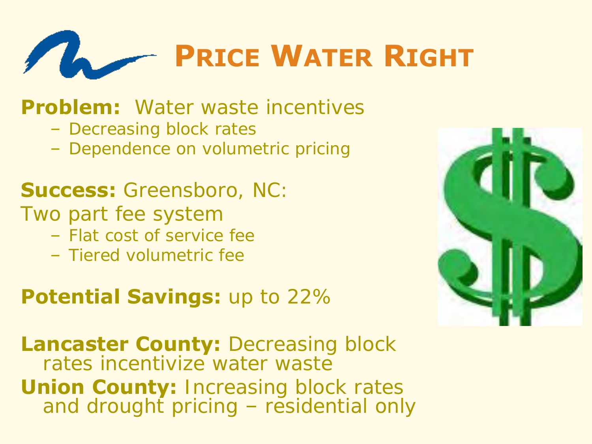

### **Problem:** Water waste incentives

- Decreasing block rates
- Dependence on volumetric pricing

### **Success:** Greensboro, NC:

- Two part fee system
	- Flat cost of service fee
	- Tiered volumetric fee

### **Potential Savings: up to 22%**

**Lancaster County: Decreasing block** rates incentivize water waste **Union County: Increasing block rates** and drought pricing – residential only

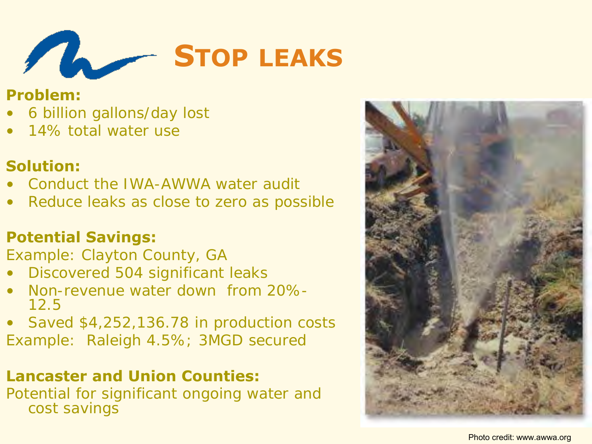

#### **Problem:**

- 6 billion gallons/day lost
- 14% total water use

#### **Solution:**

- Conduct the IWA-AWWA water audit
- Reduce leaks as close to zero as possible

#### **Potential Savings:**

Example: Clayton County, GA

- Discovered 504 significant leaks
- Non-revenue water down from 20%- 12.5
- Saved \$4,252,136.78 in production costs Example: Raleigh 4.5%; 3MGD secured

#### **Lancaster and Union Counties:**

Potential for significant ongoing water and cost savings

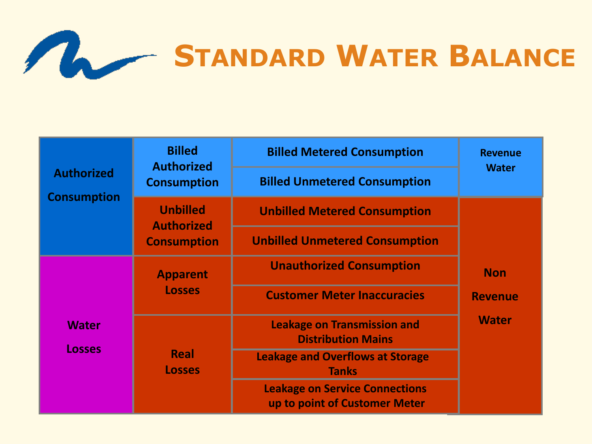

|                                         | <b>Billed</b><br><b>Authorized</b>   | <b>Billed Metered Consumption</b>                                      | <b>Revenue</b><br><b>Water</b>               |  |
|-----------------------------------------|--------------------------------------|------------------------------------------------------------------------|----------------------------------------------|--|
| <b>Authorized</b><br><b>Consumption</b> | <b>Consumption</b>                   | <b>Billed Unmetered Consumption</b>                                    |                                              |  |
|                                         | <b>Unbilled</b><br><b>Authorized</b> | <b>Unbilled Metered Consumption</b>                                    |                                              |  |
|                                         | <b>Consumption</b>                   | <b>Unbilled Unmetered Consumption</b>                                  | <b>Non</b><br><b>Revenue</b><br><b>Water</b> |  |
| <b>Water</b><br><b>Losses</b>           | <b>Apparent</b>                      | <b>Unauthorized Consumption</b>                                        |                                              |  |
|                                         | <b>Losses</b>                        | <b>Customer Meter Inaccuracies</b>                                     |                                              |  |
|                                         |                                      | <b>Leakage on Transmission and</b><br><b>Distribution Mains</b>        |                                              |  |
|                                         | Real<br><b>Losses</b>                | <b>Leakage and Overflows at Storage</b><br><b>Tanks</b>                |                                              |  |
|                                         |                                      | <b>Leakage on Service Connections</b><br>up to point of Customer Meter |                                              |  |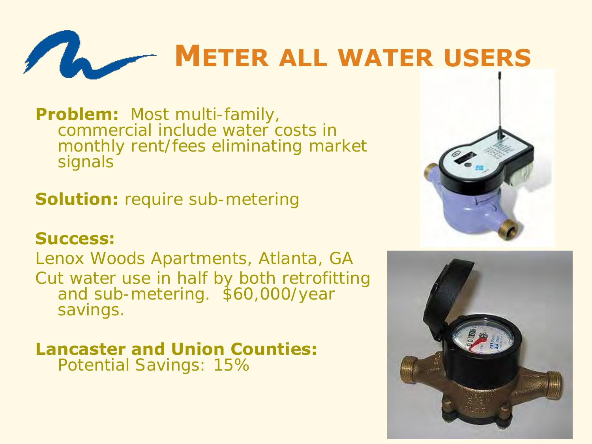

**Problem:** Most multi-family, commercial include water costs in monthly rent/fees eliminating market signals

**Solution:** require sub-metering

#### **Success:**

Lenox Woods Apartments, Atlanta, GA Cut water use in half by both retrofitting and sub-metering. \$60,000/year savings.

# **Lancaster and Union Counties:**

Potential Savings: 15%



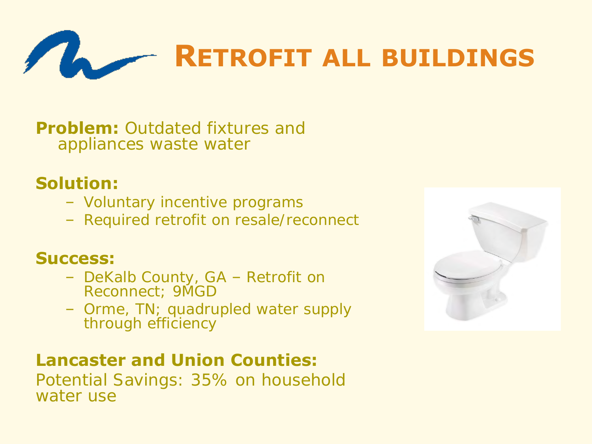

**Problem:** Outdated fixtures and appliances waste water

#### **Solution:**

- Voluntary incentive programs
- Required retrofit on resale/reconnect

#### **Success:**

- DeKalb County, GA Retrofit on Reconnect; 9MGD
- Orme, TN; quadrupled water supply through efficiency

#### **Lancaster and Union Counties:**

Potential Savings: 35% on household water use

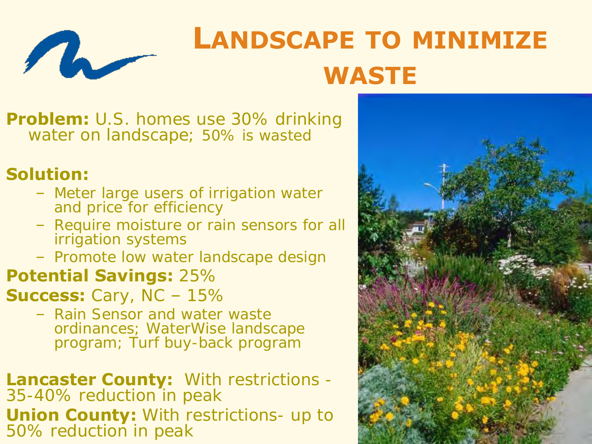

# **LANDSCAPE TO MINIMIZE WASTE**

**Problem:** U.S. homes use 30% drinking water on landscape; 50% is wasted

#### **Solution:**

- Meter large users of irrigation water and price for efficiency
- Require moisture or rain sensors for all irrigation systems
- Promote low water landscape design

#### **Potential Savings:** 25%

**Success:** Cary, NC – 15%

- Rain Sensor and water waste ordinances; WaterWise landscape program; Turf buy-back program
- **Lancaster County:** With restrictions 35-40% reduction in peak **Union County:** With restrictions- up to 50% reduction in peak

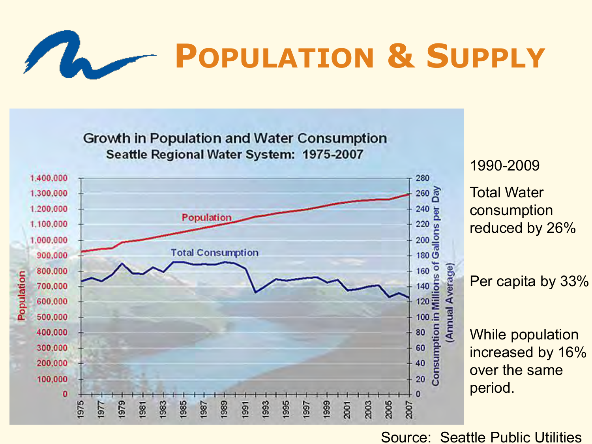



Source: Seattle Public Utilities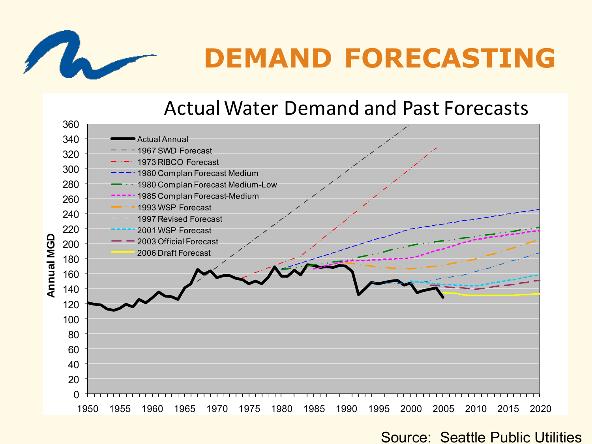

# **DEMAND FORECASTING**

### Actual Water Demand and Past Forecasts

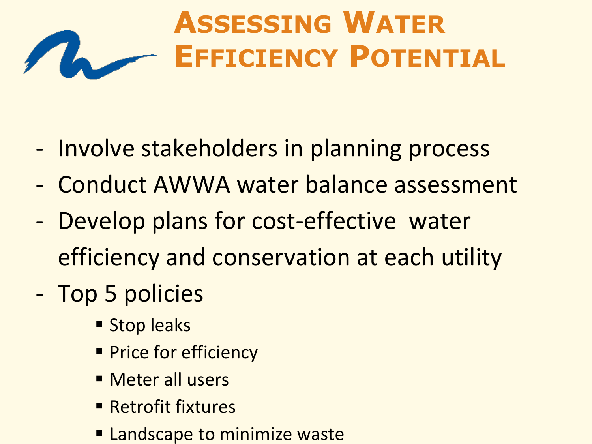### **ASSESSING WATER**  $\sqrt{L}$ **EFFICIENCY POTENTIAL**

- Involve stakeholders in planning process
- Conduct AWWA water balance assessment
- Develop plans for cost-effective water efficiency and conservation at each utility
- Top 5 policies
	- **Stop leaks**
	- **Price for efficiency**
	- **Meter all users**
	- **Retrofit fixtures**
	- **Example 10 Example 20 Figure 10 Figure 2018**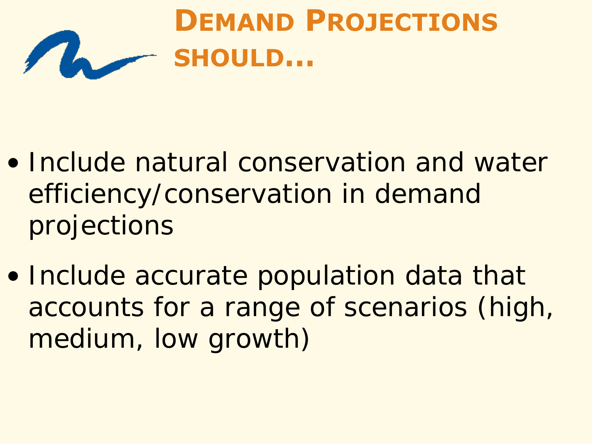

- Include natural conservation and water efficiency/conservation in demand projections
- Include accurate population data that accounts for a range of scenarios (high, medium, low growth)